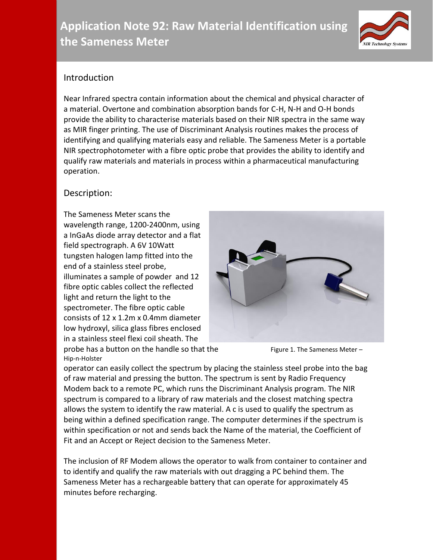# **Application Note 92: Raw Material Identification using the Sameness Meter**



## Introduction

Near Infrared spectra contain information about the chemical and physical character of a material. Overtone and combination absorption bands for C-H, N-H and O-H bonds provide the ability to characterise materials based on their NIR spectra in the same way as MIR finger printing. The use of Discriminant Analysis routines makes the process of identifying and qualifying materials easy and reliable. The Sameness Meter is a portable NIR spectrophotometer with a fibre optic probe that provides the ability to identify and qualify raw materials and materials in process within a pharmaceutical manufacturing operation.

### Description:

Hip-n-Holster

The Sameness Meter scans the wavelength range, 1200-2400nm, using a InGaAs diode array detector and a flat field spectrograph. A 6V 10Watt tungsten halogen lamp fitted into the end of a stainless steel probe, illuminates a sample of powder and 12 fibre optic cables collect the reflected light and return the light to the spectrometer. The fibre optic cable consists of 12 x 1.2m x 0.4mm diameter low hydroxyl, silica glass fibres enclosed in a stainless steel flexi coil sheath. The



probe has a button on the handle so that the Figure 1. The Sameness Meter –

operator can easily collect the spectrum by placing the stainless steel probe into the bag of raw material and pressing the button. The spectrum is sent by Radio Frequency Modem back to a remote PC, which runs the Discriminant Analysis program. The NIR spectrum is compared to a library of raw materials and the closest matching spectra allows the system to identify the raw material. A c is used to qualify the spectrum as being within a defined specification range. The computer determines if the spectrum is within specification or not and sends back the Name of the material, the Coefficient of Fit and an Accept or Reject decision to the Sameness Meter.

The inclusion of RF Modem allows the operator to walk from container to container and to identify and qualify the raw materials with out dragging a PC behind them. The Sameness Meter has a rechargeable battery that can operate for approximately 45 minutes before recharging.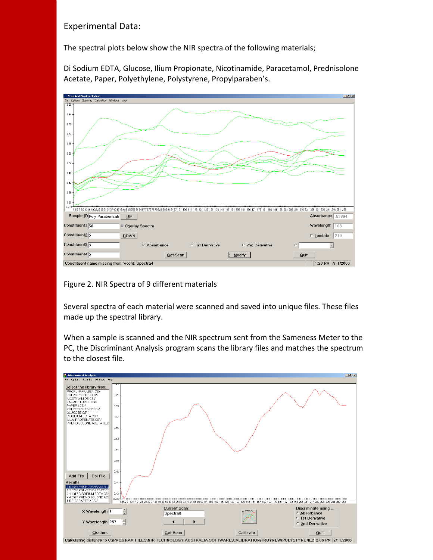#### Experimental Data:

The spectral plots below show the NIR spectra of the following materials;

Di Sodium EDTA, Glucose, Ilium Propionate, Nicotinamide, Paracetamol, Prednisolone Acetate, Paper, Polyethylene, Polystyrene, Propylparaben's.



Figure 2. NIR Spectra of 9 different materials

Several spectra of each material were scanned and saved into unique files. These files made up the spectral library.

When a sample is scanned and the NIR spectrum sent from the Sameness Meter to the PC, the Discriminant Analysis program scans the library files and matches the spectrum to the closest file.